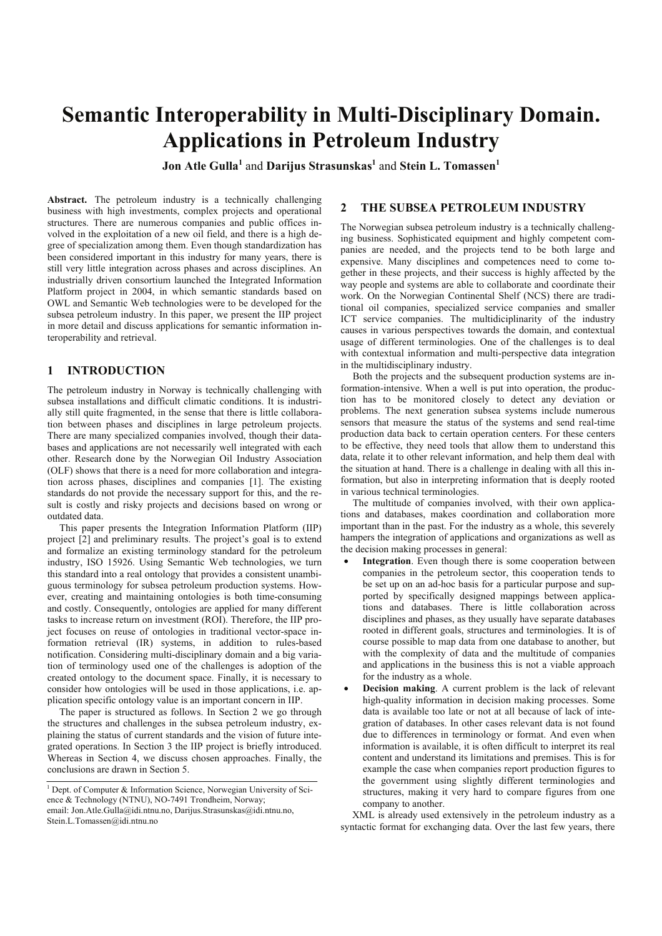# **Semantic Interoperability in Multi-Disciplinary Domain. Applications in Petroleum Industry**

**Jon Atle Gulla<sup>1</sup>** and **Darijus Strasunskas<sup>1</sup>** and **Stein L. Tomassen<sup>1</sup>**

**Abstract.** The petroleum industry is a technically challenging business with high investments, complex projects and operational structures. There are numerous companies and public offices involved in the exploitation of a new oil field, and there is a high degree of specialization among them. Even though standardization has been considered important in this industry for many years, there is still very little integration across phases and across disciplines. An industrially driven consortium launched the Integrated Information Platform project in 2004, in which semantic standards based on OWL and Semantic Web technologies were to be developed for the subsea petroleum industry. In this paper, we present the IIP project in more detail and discuss applications for semantic information interoperability and retrieval.

## **1 INTRODUCTION**

The petroleum industry in Norway is technically challenging with subsea installations and difficult climatic conditions. It is industrially still quite fragmented, in the sense that there is little collaboration between phases and disciplines in large petroleum projects. There are many specialized companies involved, though their databases and applications are not necessarily well integrated with each other. Research done by the Norwegian Oil Industry Association (OLF) shows that there is a need for more collaboration and integration across phases, disciplines and companies [1]. The existing standards do not provide the necessary support for this, and the result is costly and risky projects and decisions based on wrong or outdated data.

This paper presents the Integration Information Platform (IIP) project [2] and preliminary results. The project's goal is to extend and formalize an existing terminology standard for the petroleum industry, ISO 15926. Using Semantic Web technologies, we turn this standard into a real ontology that provides a consistent unambiguous terminology for subsea petroleum production systems. However, creating and maintaining ontologies is both time-consuming and costly. Consequently, ontologies are applied for many different tasks to increase return on investment (ROI). Therefore, the IIP project focuses on reuse of ontologies in traditional vector-space information retrieval (IR) systems, in addition to rules-based notification. Considering multi-disciplinary domain and a big variation of terminology used one of the challenges is adoption of the created ontology to the document space. Finally, it is necessary to consider how ontologies will be used in those applications, i.e. application specific ontology value is an important concern in IIP.

The paper is structured as follows. In Section 2 we go through the structures and challenges in the subsea petroleum industry, explaining the status of current standards and the vision of future integrated operations. In Section 3 the IIP project is briefly introduced. Whereas in Section 4, we discuss chosen approaches. Finally, the conclusions are drawn in Section 5.

#### **2 THE SUBSEA PETROLEUM INDUSTRY**

The Norwegian subsea petroleum industry is a technically challenging business. Sophisticated equipment and highly competent companies are needed, and the projects tend to be both large and expensive. Many disciplines and competences need to come together in these projects, and their success is highly affected by the way people and systems are able to collaborate and coordinate their work. On the Norwegian Continental Shelf (NCS) there are traditional oil companies, specialized service companies and smaller ICT service companies. The multidiciplinarity of the industry causes in various perspectives towards the domain, and contextual usage of different terminologies. One of the challenges is to deal with contextual information and multi-perspective data integration in the multidisciplinary industry.

Both the projects and the subsequent production systems are information-intensive. When a well is put into operation, the production has to be monitored closely to detect any deviation or problems. The next generation subsea systems include numerous sensors that measure the status of the systems and send real-time production data back to certain operation centers. For these centers to be effective, they need tools that allow them to understand this data, relate it to other relevant information, and help them deal with the situation at hand. There is a challenge in dealing with all this information, but also in interpreting information that is deeply rooted in various technical terminologies.

The multitude of companies involved, with their own applications and databases, makes coordination and collaboration more important than in the past. For the industry as a whole, this severely hampers the integration of applications and organizations as well as the decision making processes in general:

- **Integration**. Even though there is some cooperation between companies in the petroleum sector, this cooperation tends to be set up on an ad-hoc basis for a particular purpose and supported by specifically designed mappings between applications and databases. There is little collaboration across disciplines and phases, as they usually have separate databases rooted in different goals, structures and terminologies. It is of course possible to map data from one database to another, but with the complexity of data and the multitude of companies and applications in the business this is not a viable approach for the industry as a whole.
- **Decision making**. A current problem is the lack of relevant high-quality information in decision making processes. Some data is available too late or not at all because of lack of integration of databases. In other cases relevant data is not found due to differences in terminology or format. And even when information is available, it is often difficult to interpret its real content and understand its limitations and premises. This is for example the case when companies report production figures to the government using slightly different terminologies and structures, making it very hard to compare figures from one company to another.

XML is already used extensively in the petroleum industry as a syntactic format for exchanging data. Over the last few years, there

<sup>&</sup>lt;sup>1</sup> Dept. of Computer & Information Science, Norwegian University of Science & Technology (NTNU), NO-7491 Trondheim, Norway; email: Jon.Atle.Gulla@idi.ntnu.no, Darijus.Strasunskas@idi.ntnu.no, Stein.L.Tomassen@idi.ntnu.no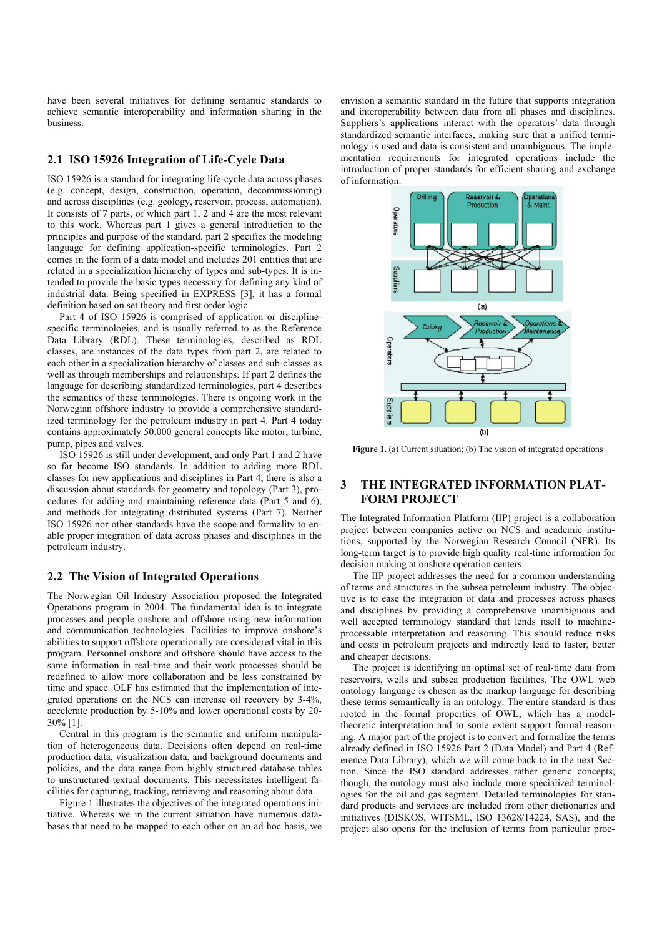have been several initiatives for defining semantic standards to achieve semantic interoperability and information sharing in the business.

## **2.1 ISO 15926 Integration of Life-Cycle Data**

ISO 15926 is a standard for integrating life-cycle data across phases (e.g. concept, design, construction, operation, decommissioning) and across disciplines (e.g. geology, reservoir, process, automation). It consists of 7 parts, of which part 1, 2 and 4 are the most relevant to this work. Whereas part 1 gives a general introduction to the principles and purpose of the standard, part 2 specifies the modeling language for defining application-specific terminologies. Part 2 comes in the form of a data model and includes 201 entities that are related in a specialization hierarchy of types and sub-types. It is intended to provide the basic types necessary for defining any kind of industrial data. Being specified in EXPRESS [3], it has a formal definition based on set theory and first order logic.

Part 4 of ISO 15926 is comprised of application or disciplinespecific terminologies, and is usually referred to as the Reference Data Library (RDL). These terminologies, described as RDL classes, are instances of the data types from part 2, are related to each other in a specialization hierarchy of classes and sub-classes as well as through memberships and relationships. If part 2 defines the language for describing standardized terminologies, part 4 describes the semantics of these terminologies. There is ongoing work in the Norwegian offshore industry to provide a comprehensive standardized terminology for the petroleum industry in part 4. Part 4 today contains approximately 50.000 general concepts like motor, turbine, pump, pipes and valves.

ISO 15926 is still under development, and only Part 1 and 2 have so far become ISO standards. In addition to adding more RDL classes for new applications and disciplines in Part 4, there is also a discussion about standards for geometry and topology (Part 3), procedures for adding and maintaining reference data (Part 5 and 6), and methods for integrating distributed systems (Part 7). Neither ISO 15926 nor other standards have the scope and formality to enable proper integration of data across phases and disciplines in the petroleum industry.

#### **2.2 The Vision of Integrated Operations**

The Norwegian Oil Industry Association proposed the Integrated Operations program in 2004. The fundamental idea is to integrate processes and people onshore and offshore using new information and communication technologies. Facilities to improve onshore's abilities to support offshore operationally are considered vital in this program. Personnel onshore and offshore should have access to the same information in real-time and their work processes should be redefined to allow more collaboration and be less constrained by time and space. OLF has estimated that the implementation of integrated operations on the NCS can increase oil recovery by 3-4%, accelerate production by 5-10% and lower operational costs by 20- 30% [1].

Central in this program is the semantic and uniform manipulation of heterogeneous data. Decisions often depend on real-time production data, visualization data, and background documents and policies, and the data range from highly structured database tables to unstructured textual documents. This necessitates intelligent facilities for capturing, tracking, retrieving and reasoning about data.

Figure 1 illustrates the objectives of the integrated operations initiative. Whereas we in the current situation have numerous databases that need to be mapped to each other on an ad hoc basis, we envision a semantic standard in the future that supports integration and interoperability between data from all phases and disciplines. Suppliers's applications interact with the operators' data through standardized semantic interfaces, making sure that a unified terminology is used and data is consistent and unambiguous. The implementation requirements for integrated operations include the introduction of proper standards for efficient sharing and exchange of information.



**Figure 1.** (a) Current situation; (b) The vision of integrated operations

# **3 THE INTEGRATED INFORMATION PLAT-FORM PROJECT**

The Integrated Information Platform (IIP) project is a collaboration project between companies active on NCS and academic institutions, supported by the Norwegian Research Council (NFR). Its long-term target is to provide high quality real-time information for decision making at onshore operation centers.

The IIP project addresses the need for a common understanding of terms and structures in the subsea petroleum industry. The objective is to ease the integration of data and processes across phases and disciplines by providing a comprehensive unambiguous and well accepted terminology standard that lends itself to machineprocessable interpretation and reasoning. This should reduce risks and costs in petroleum projects and indirectly lead to faster, better and cheaper decisions.

The project is identifying an optimal set of real-time data from reservoirs, wells and subsea production facilities. The OWL web ontology language is chosen as the markup language for describing these terms semantically in an ontology. The entire standard is thus rooted in the formal properties of OWL, which has a modeltheoretic interpretation and to some extent support formal reasoning. A major part of the project is to convert and formalize the terms already defined in ISO 15926 Part 2 (Data Model) and Part 4 (Reference Data Library), which we will come back to in the next Section. Since the ISO standard addresses rather generic concepts, though, the ontology must also include more specialized terminologies for the oil and gas segment. Detailed terminologies for standard products and services are included from other dictionaries and initiatives (DISKOS, WITSML, ISO 13628/14224, SAS), and the project also opens for the inclusion of terms from particular proc-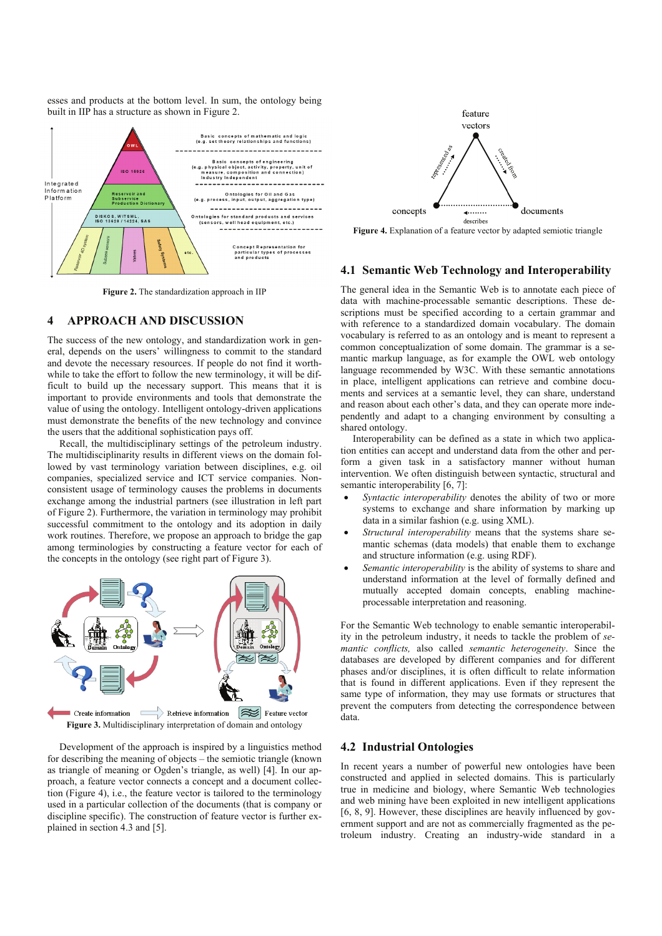esses and products at the bottom level. In sum, the ontology being built in IIP has a structure as shown in Figure 2.



**Figure 2.** The standardization approach in IIP

## **4 APPROACH AND DISCUSSION**

The success of the new ontology, and standardization work in general, depends on the users' willingness to commit to the standard and devote the necessary resources. If people do not find it worthwhile to take the effort to follow the new terminology, it will be difficult to build up the necessary support. This means that it is important to provide environments and tools that demonstrate the value of using the ontology. Intelligent ontology-driven applications must demonstrate the benefits of the new technology and convince the users that the additional sophistication pays off.

Recall, the multidisciplinary settings of the petroleum industry. The multidisciplinarity results in different views on the domain followed by vast terminology variation between disciplines, e.g. oil companies, specialized service and ICT service companies. Nonconsistent usage of terminology causes the problems in documents exchange among the industrial partners (see illustration in left part of Figure 2). Furthermore, the variation in terminology may prohibit successful commitment to the ontology and its adoption in daily work routines. Therefore, we propose an approach to bridge the gap among terminologies by constructing a feature vector for each of the concepts in the ontology (see right part of Figure 3).



Development of the approach is inspired by a linguistics method for describing the meaning of objects – the semiotic triangle (known as triangle of meaning or Ogden's triangle, as well) [4]. In our approach, a feature vector connects a concept and a document collection (Figure 4), i.e., the feature vector is tailored to the terminology used in a particular collection of the documents (that is company or discipline specific). The construction of feature vector is further explained in section 4.3 and [5].



**Figure 4.** Explanation of a feature vector by adapted semiotic triangle

#### **4.1 Semantic Web Technology and Interoperability**

The general idea in the Semantic Web is to annotate each piece of data with machine-processable semantic descriptions. These descriptions must be specified according to a certain grammar and with reference to a standardized domain vocabulary. The domain vocabulary is referred to as an ontology and is meant to represent a common conceptualization of some domain. The grammar is a semantic markup language, as for example the OWL web ontology language recommended by W3C. With these semantic annotations in place, intelligent applications can retrieve and combine documents and services at a semantic level, they can share, understand and reason about each other's data, and they can operate more independently and adapt to a changing environment by consulting a shared ontology.

Interoperability can be defined as a state in which two application entities can accept and understand data from the other and perform a given task in a satisfactory manner without human intervention. We often distinguish between syntactic, structural and semantic interoperability [6, 7]:

- *Syntactic interoperability* denotes the ability of two or more systems to exchange and share information by marking up data in a similar fashion (e.g. using XML).
- *Structural interoperability* means that the systems share semantic schemas (data models) that enable them to exchange and structure information (e.g. using RDF).
- *Semantic interoperability* is the ability of systems to share and understand information at the level of formally defined and mutually accepted domain concepts, enabling machineprocessable interpretation and reasoning.

For the Semantic Web technology to enable semantic interoperability in the petroleum industry, it needs to tackle the problem of *semantic conflicts,* also called *semantic heterogeneity*. Since the databases are developed by different companies and for different phases and/or disciplines, it is often difficult to relate information that is found in different applications. Even if they represent the same type of information, they may use formats or structures that prevent the computers from detecting the correspondence between data.

#### **4.2 Industrial Ontologies**

In recent years a number of powerful new ontologies have been constructed and applied in selected domains. This is particularly true in medicine and biology, where Semantic Web technologies and web mining have been exploited in new intelligent applications [6, 8, 9]. However, these disciplines are heavily influenced by government support and are not as commercially fragmented as the petroleum industry. Creating an industry-wide standard in a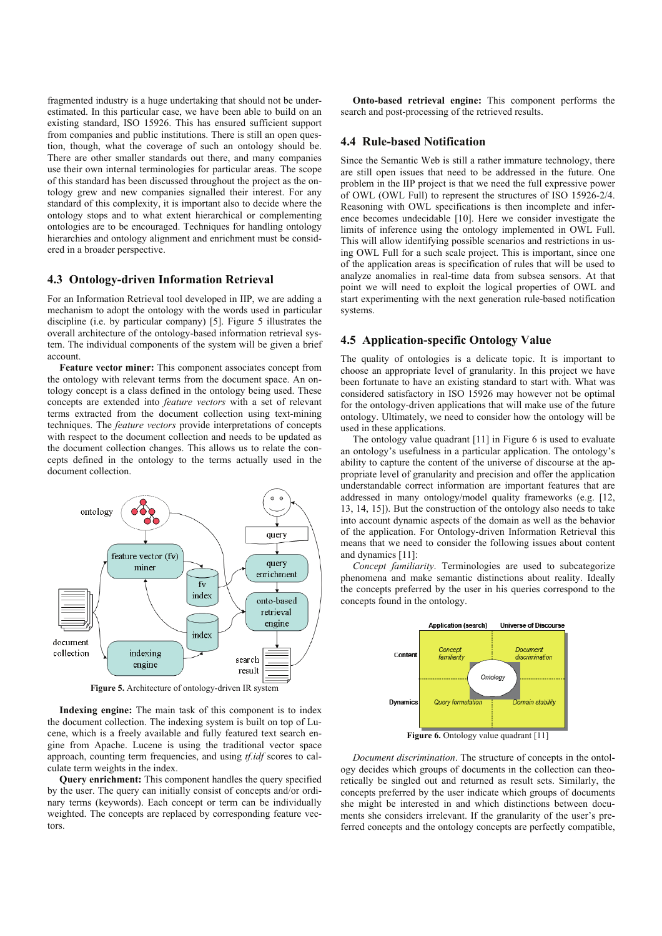fragmented industry is a huge undertaking that should not be underestimated. In this particular case, we have been able to build on an existing standard, ISO 15926. This has ensured sufficient support from companies and public institutions. There is still an open question, though, what the coverage of such an ontology should be. There are other smaller standards out there, and many companies use their own internal terminologies for particular areas. The scope of this standard has been discussed throughout the project as the ontology grew and new companies signalled their interest. For any standard of this complexity, it is important also to decide where the ontology stops and to what extent hierarchical or complementing ontologies are to be encouraged. Techniques for handling ontology hierarchies and ontology alignment and enrichment must be considered in a broader perspective.

#### **4.3 Ontology-driven Information Retrieval**

For an Information Retrieval tool developed in IIP, we are adding a mechanism to adopt the ontology with the words used in particular discipline (i.e. by particular company) [5]. Figure 5 illustrates the overall architecture of the ontology-based information retrieval system. The individual components of the system will be given a brief account.

**Feature vector miner:** This component associates concept from the ontology with relevant terms from the document space. An ontology concept is a class defined in the ontology being used. These concepts are extended into *feature vectors* with a set of relevant terms extracted from the document collection using text-mining techniques. The *feature vectors* provide interpretations of concepts with respect to the document collection and needs to be updated as the document collection changes. This allows us to relate the concepts defined in the ontology to the terms actually used in the document collection.



**Figure 5.** Architecture of ontology-driven IR system

**Indexing engine:** The main task of this component is to index the document collection. The indexing system is built on top of Lucene, which is a freely available and fully featured text search engine from Apache. Lucene is using the traditional vector space approach, counting term frequencies, and using *tf.idf* scores to calculate term weights in the index.

**Query enrichment:** This component handles the query specified by the user. The query can initially consist of concepts and/or ordinary terms (keywords). Each concept or term can be individually weighted. The concepts are replaced by corresponding feature vectors.

**Onto-based retrieval engine:** This component performs the search and post-processing of the retrieved results.

#### **4.4 Rule-based Notification**

Since the Semantic Web is still a rather immature technology, there are still open issues that need to be addressed in the future. One problem in the IIP project is that we need the full expressive power of OWL (OWL Full) to represent the structures of ISO 15926-2/4. Reasoning with OWL specifications is then incomplete and inference becomes undecidable [10]. Here we consider investigate the limits of inference using the ontology implemented in OWL Full. This will allow identifying possible scenarios and restrictions in using OWL Full for a such scale project. This is important, since one of the application areas is specification of rules that will be used to analyze anomalies in real-time data from subsea sensors. At that point we will need to exploit the logical properties of OWL and start experimenting with the next generation rule-based notification systems.

#### **4.5 Application-specific Ontology Value**

The quality of ontologies is a delicate topic. It is important to choose an appropriate level of granularity. In this project we have been fortunate to have an existing standard to start with. What was considered satisfactory in ISO 15926 may however not be optimal for the ontology-driven applications that will make use of the future ontology. Ultimately, we need to consider how the ontology will be used in these applications.

The ontology value quadrant [11] in Figure 6 is used to evaluate an ontology's usefulness in a particular application. The ontology's ability to capture the content of the universe of discourse at the appropriate level of granularity and precision and offer the application understandable correct information are important features that are addressed in many ontology/model quality frameworks (e.g. [12, 13, 14, 15]). But the construction of the ontology also needs to take into account dynamic aspects of the domain as well as the behavior of the application. For Ontology-driven Information Retrieval this means that we need to consider the following issues about content and dynamics [11]:

*Concept familiarity*. Terminologies are used to subcategorize phenomena and make semantic distinctions about reality. Ideally the concepts preferred by the user in his queries correspond to the concepts found in the ontology.



*Document discrimination*. The structure of concepts in the ontology decides which groups of documents in the collection can theoretically be singled out and returned as result sets. Similarly, the concepts preferred by the user indicate which groups of documents she might be interested in and which distinctions between documents she considers irrelevant. If the granularity of the user's preferred concepts and the ontology concepts are perfectly compatible,